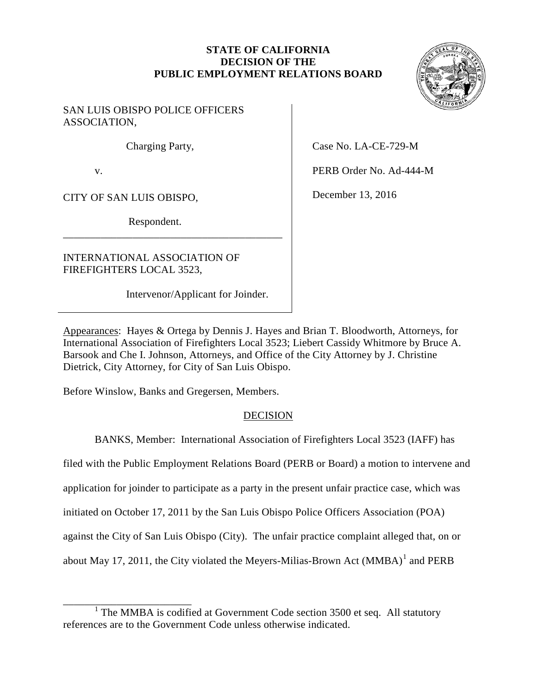# **STATE OF CALIFORNIA DECISION OF THE PUBLIC EMPLOYMENT RELATIONS BOARD**

## SAN LUIS OBISPO POLICE OFFICERS ASSOCIATION,

Charging Party,

v.

CITY OF SAN LUIS OBISPO,

\_\_\_\_\_\_\_\_\_\_\_\_\_\_\_\_\_\_\_\_\_\_\_\_

Respondent.

\_\_\_\_\_\_\_\_\_\_\_\_\_\_\_\_\_\_\_\_\_\_\_\_\_\_\_\_\_\_\_\_\_\_\_\_\_\_\_\_\_

INTERNATIONAL ASSOCIATION OF FIREFIGHTERS LOCAL 3523,

Intervenor/Applicant for Joinder.

Case No. LA-CE-729-M

PERB Order No. Ad-444-M

December 13, 2016

Appearances: Hayes & Ortega by Dennis J. Hayes and Brian T. Bloodworth, Attorneys, for International Association of Firefighters Local 3523; Liebert Cassidy Whitmore by Bruce A. Barsook and Che I. Johnson, Attorneys, and Office of the City Attorney by J. Christine Dietrick, City Attorney, for City of San Luis Obispo.

Before Winslow, Banks and Gregersen, Members.

# DECISION

BANKS, Member: International Association of Firefighters Local 3523 (IAFF) has

filed with the Public Employment Relations Board (PERB or Board) a motion to intervene and

application for joinder to participate as a party in the present unfair practice case, which was

initiated on October 17, 2011 by the San Luis Obispo Police Officers Association (POA)

against the City of San Luis Obispo (City). The unfair practice complaint alleged that, on or

about May 17, 2011, the City violated the Meyers-Milias-Brown Act  $(MMBA)^1$  and PERB



<span id="page-0-0"></span> $1$  The MMBA is codified at Government Code section 3500 et seq. All statutory references are to the Government Code unless otherwise indicated.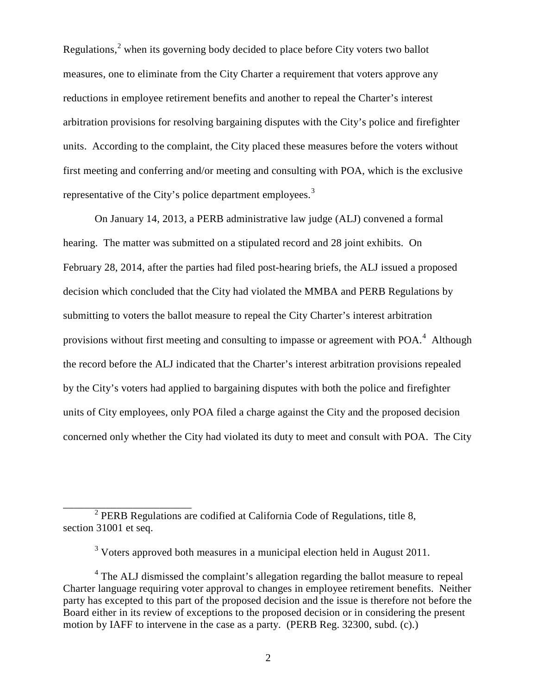Regulations, $<sup>2</sup>$  $<sup>2</sup>$  $<sup>2</sup>$  when its governing body decided to place before City voters two ballot</sup> measures, one to eliminate from the City Charter a requirement that voters approve any representative of the City's police department employees.<sup>[3](#page-1-1)</sup> reductions in employee retirement benefits and another to repeal the Charter's interest arbitration provisions for resolving bargaining disputes with the City's police and firefighter units. According to the complaint, the City placed these measures before the voters without first meeting and conferring and/or meeting and consulting with POA, which is the exclusive

 hearing. The matter was submitted on a stipulated record and 28 joint exhibits. On February 28, 2014, after the parties had filed post-hearing briefs, the ALJ issued a proposed decision which concluded that the City had violated the MMBA and PERB Regulations by submitting to voters the ballot measure to repeal the City Charter's interest arbitration provisions without first meeting and consulting to impasse or agreement with POA.<sup>4</sup> Although On January 14, 2013, a PERB administrative law judge (ALJ) convened a formal the record before the ALJ indicated that the Charter's interest arbitration provisions repealed by the City's voters had applied to bargaining disputes with both the police and firefighter units of City employees, only POA filed a charge against the City and the proposed decision concerned only whether the City had violated its duty to meet and consult with POA. The City

<span id="page-1-0"></span> $2$  PERB Regulations are codified at California Code of Regulations, title 8, section 31001 et seq.

\_\_\_\_\_\_\_\_\_\_\_\_\_\_\_\_\_\_\_\_\_\_\_\_

 $3$  Voters approved both measures in a municipal election held in August 2011.

<span id="page-1-2"></span><span id="page-1-1"></span> party has excepted to this part of the proposed decision and the issue is therefore not before the <sup>4</sup> The ALJ dismissed the complaint's allegation regarding the ballot measure to repeal Charter language requiring voter approval to changes in employee retirement benefits. Neither Board either in its review of exceptions to the proposed decision or in considering the present motion by IAFF to intervene in the case as a party. (PERB Reg. 32300, subd. (c).)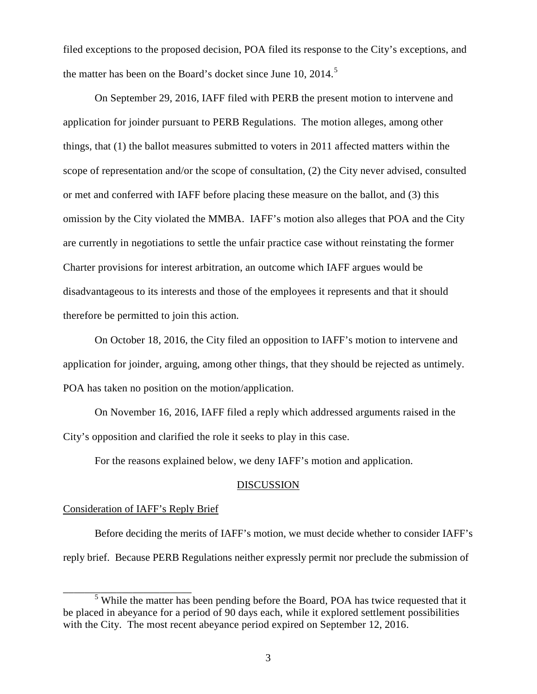filed exceptions to the proposed decision, POA filed its response to the City's exceptions, and the matter has been on the Board's docket since June 10, 2014.<sup>[5](#page-2-0)</sup>

 things, that (1) the ballot measures submitted to voters in 2011 affected matters within the omission by the City violated the MMBA. IAFF's motion also alleges that POA and the City Charter provisions for interest arbitration, an outcome which IAFF argues would be therefore be permitted to join this action. On September 29, 2016, IAFF filed with PERB the present motion to intervene and application for joinder pursuant to PERB Regulations. The motion alleges, among other scope of representation and/or the scope of consultation, (2) the City never advised, consulted or met and conferred with IAFF before placing these measure on the ballot, and (3) this are currently in negotiations to settle the unfair practice case without reinstating the former disadvantageous to its interests and those of the employees it represents and that it should

On October 18, 2016, the City filed an opposition to IAFF's motion to intervene and application for joinder, arguing, among other things, that they should be rejected as untimely. POA has taken no position on the motion/application.

 City's opposition and clarified the role it seeks to play in this case. On November 16, 2016, IAFF filed a reply which addressed arguments raised in the

For the reasons explained below, we deny IAFF's motion and application.

#### DISCUSSION

#### Consideration of IAFF's Reply Brief

\_\_\_\_\_\_\_\_\_\_\_\_\_\_\_\_\_\_\_\_\_\_\_\_

 Before deciding the merits of IAFF's motion, we must decide whether to consider IAFF's reply brief. Because PERB Regulations neither expressly permit nor preclude the submission of

<span id="page-2-0"></span><sup>&</sup>lt;sup>5</sup> While the matter has been pending before the Board, POA has twice requested that it be placed in abeyance for a period of 90 days each, while it explored settlement possibilities with the City. The most recent abeyance period expired on September 12, 2016.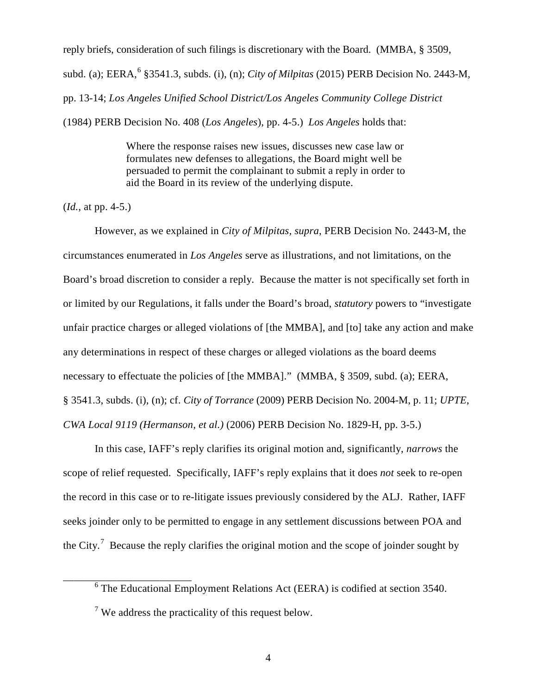pp. 13-14; *Los Angeles Unified School District/Los Angeles Community College District*  (1984) PERB Decision No. 408 (*Los Angeles*), pp. 4-5.) *Los Angeles* holds that: reply briefs, consideration of such filings is discretionary with the Board. (MMBA, § 3509, subd. (a); EERA, [6](#page-3-0) §3541.3, subds. (i), (n); *City of Milpitas* (2015) PERB Decision No. 2443-M,

> Where the response raises new issues, discusses new case law or formulates new defenses to allegations, the Board might well be persuaded to permit the complainant to submit a reply in order to aid the Board in its review of the underlying dispute.

 $(Id., at pp. 4-5.)$ 

However, as we explained in *City of Milpitas, supra*, PERB Decision No. 2443-M, the circumstances enumerated in *Los Angeles* serve as illustrations, and not limitations, on the Board's broad discretion to consider a reply. Because the matter is not specifically set forth in or limited by our Regulations, it falls under the Board's broad, *statutory* powers to "investigate unfair practice charges or alleged violations of [the MMBA], and [to] take any action and make any determinations in respect of these charges or alleged violations as the board deems necessary to effectuate the policies of [the MMBA]." (MMBA, § 3509, subd. (a); EERA, § 3541.3, subds. (i), (n); cf. *City of Torrance* (2009) PERB Decision No. 2004-M, p. 11; *UPTE, CWA Local 9119 (Hermanson, et al.)* (2006) PERB Decision No. 1829-H, pp. 3-5.)

 In this case, IAFF's reply clarifies its original motion and, significantly, *narrows* the the City.<sup>7</sup> Because the reply clarifies the original motion and the scope of joinder sought by scope of relief requested. Specifically, IAFF's reply explains that it does *not* seek to re-open the record in this case or to re-litigate issues previously considered by the ALJ. Rather, IAFF seeks joinder only to be permitted to engage in any settlement discussions between POA and

<span id="page-3-1"></span><span id="page-3-0"></span>\_\_\_\_\_\_\_\_\_\_\_\_\_\_\_\_\_\_\_\_\_\_\_\_

 $6$  The Educational Employment Relations Act (EERA) is codified at section 3540.

 $7$  We address the practicality of this request below.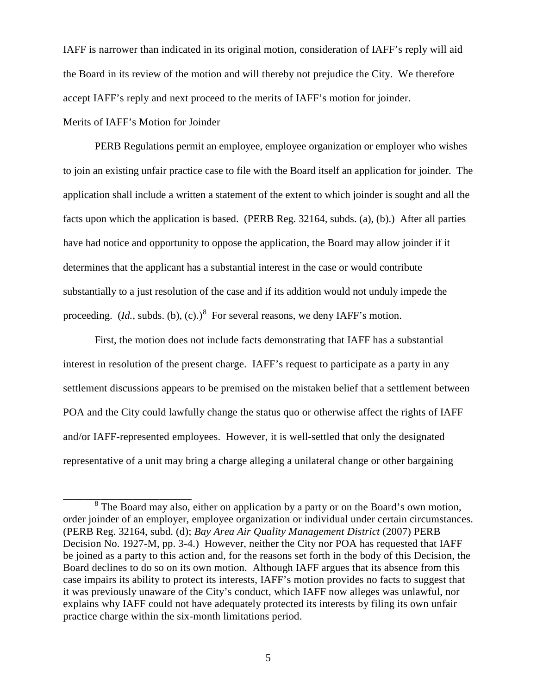the Board in its review of the motion and will thereby not prejudice the City. We therefore IAFF is narrower than indicated in its original motion, consideration of IAFF's reply will aid accept IAFF's reply and next proceed to the merits of IAFF's motion for joinder.

## Merits of IAFF's Motion for Joinder

\_\_\_\_\_\_\_\_\_\_\_\_\_\_\_\_\_\_\_\_\_\_\_\_

 PERB Regulations permit an employee, employee organization or employer who wishes to join an existing unfair practice case to file with the Board itself an application for joinder. The application shall include a written a statement of the extent to which joinder is sought and all the facts upon which the application is based. (PERB Reg. 32164, subds. (a), (b).) After all parties determines that the applicant has a substantial interest in the case or would contribute substantially to a just resolution of the case and if its addition would not unduly impede the proceeding.  $(Id,$  subds. (b), (c).)<sup>8</sup> For several reasons, we deny IAFF's motion. have had notice and opportunity to oppose the application, the Board may allow joinder if it

 interest in resolution of the present charge. IAFF's request to participate as a party in any and/or IAFF-represented employees. However, it is well-settled that only the designated First, the motion does not include facts demonstrating that IAFF has a substantial settlement discussions appears to be premised on the mistaken belief that a settlement between POA and the City could lawfully change the status quo or otherwise affect the rights of IAFF representative of a unit may bring a charge alleging a unilateral change or other bargaining

<span id="page-4-0"></span> (PERB Reg. 32164, subd. (d); *Bay Area Air Quality Management District* (2007) PERB explains why IAFF could not have adequately protected its interests by filing its own unfair <sup>8</sup> The Board may also, either on application by a party or on the Board's own motion, order joinder of an employer, employee organization or individual under certain circumstances. Decision No. 1927-M, pp. 3-4.) However, neither the City nor POA has requested that IAFF be joined as a party to this action and, for the reasons set forth in the body of this Decision, the Board declines to do so on its own motion. Although IAFF argues that its absence from this case impairs its ability to protect its interests, IAFF's motion provides no facts to suggest that it was previously unaware of the City's conduct, which IAFF now alleges was unlawful, nor practice charge within the six-month limitations period.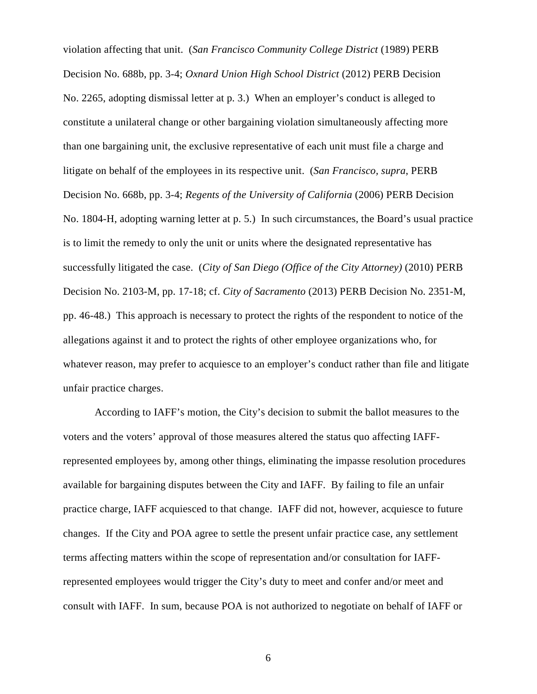No. 2265, adopting dismissal letter at p. 3.) When an employer's conduct is alleged to Decision No. 668b, pp. 3-4; *Regents of the University of California* (2006) PERB Decision pp. 46-48.) This approach is necessary to protect the rights of the respondent to notice of the violation affecting that unit. (*San Francisco Community College District* (1989) PERB Decision No. 688b, pp. 3-4; *Oxnard Union High School District* (2012) PERB Decision constitute a unilateral change or other bargaining violation simultaneously affecting more than one bargaining unit, the exclusive representative of each unit must file a charge and litigate on behalf of the employees in its respective unit. (*San Francisco, supra*, PERB No. 1804-H, adopting warning letter at p. 5.) In such circumstances, the Board's usual practice is to limit the remedy to only the unit or units where the designated representative has successfully litigated the case. (*City of San Diego (Office of the City Attorney)* (2010) PERB Decision No. 2103-M, pp. 17-18; cf. *City of Sacramento* (2013) PERB Decision No. 2351-M, allegations against it and to protect the rights of other employee organizations who, for whatever reason, may prefer to acquiesce to an employer's conduct rather than file and litigate unfair practice charges.

 voters and the voters' approval of those measures altered the status quo affecting IAFF- available for bargaining disputes between the City and IAFF. By failing to file an unfair changes. If the City and POA agree to settle the present unfair practice case, any settlement consult with IAFF. In sum, because POA is not authorized to negotiate on behalf of IAFF or According to IAFF's motion, the City's decision to submit the ballot measures to the represented employees by, among other things, eliminating the impasse resolution procedures practice charge, IAFF acquiesced to that change. IAFF did not, however, acquiesce to future terms affecting matters within the scope of representation and/or consultation for IAFFrepresented employees would trigger the City's duty to meet and confer and/or meet and

6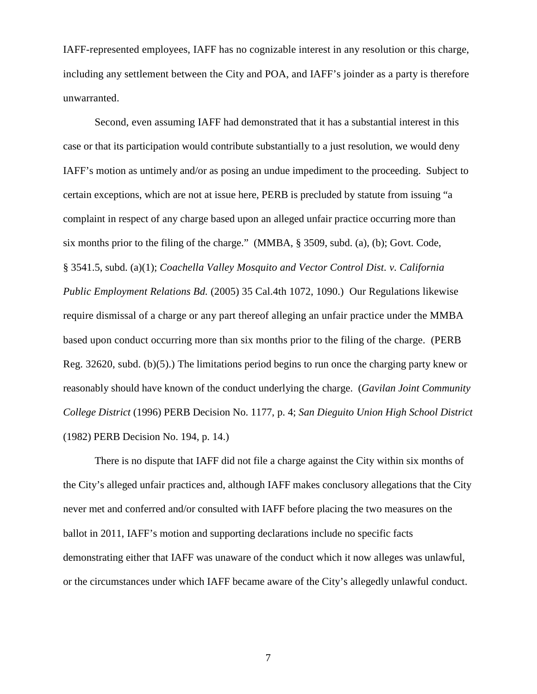IAFF-represented employees, IAFF has no cognizable interest in any resolution or this charge, including any settlement between the City and POA, and IAFF's joinder as a party is therefore unwarranted.

 Second, even assuming IAFF had demonstrated that it has a substantial interest in this case or that its participation would contribute substantially to a just resolution, we would deny IAFF's motion as untimely and/or as posing an undue impediment to the proceeding. Subject to certain exceptions, which are not at issue here, PERB is precluded by statute from issuing "a complaint in respect of any charge based upon an alleged unfair practice occurring more than *Public Employment Relations Bd.* (2005) 35 Cal.4th 1072, 1090.) Our Regulations likewise (1982) PERB Decision No. 194, p. 14.) six months prior to the filing of the charge." (MMBA, § 3509, subd. (a), (b); Govt. Code, § 3541.5, subd. (a)(1); *Coachella Valley Mosquito and Vector Control Dist. v. California*  require dismissal of a charge or any part thereof alleging an unfair practice under the MMBA based upon conduct occurring more than six months prior to the filing of the charge. (PERB Reg. 32620, subd. (b)(5).) The limitations period begins to run once the charging party knew or reasonably should have known of the conduct underlying the charge. (*Gavilan Joint Community College District* (1996) PERB Decision No. 1177, p. 4; *San Dieguito Union High School District* 

 the City's alleged unfair practices and, although IAFF makes conclusory allegations that the City demonstrating either that IAFF was unaware of the conduct which it now alleges was unlawful, There is no dispute that IAFF did not file a charge against the City within six months of never met and conferred and/or consulted with IAFF before placing the two measures on the ballot in 2011, IAFF's motion and supporting declarations include no specific facts or the circumstances under which IAFF became aware of the City's allegedly unlawful conduct.

7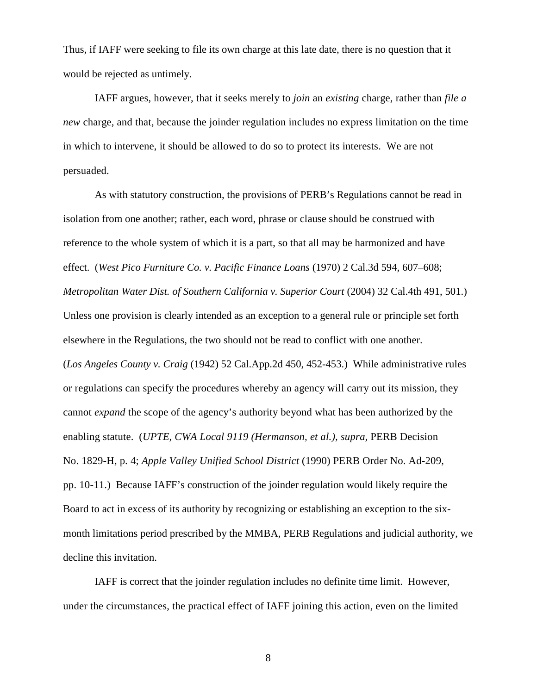Thus, if IAFF were seeking to file its own charge at this late date, there is no question that it would be rejected as untimely.

IAFF argues, however, that it seeks merely to *join* an *existing* charge, rather than *file a new* charge, and that, because the joinder regulation includes no express limitation on the time in which to intervene, it should be allowed to do so to protect its interests. We are not persuaded.

Metropolitan Water Dist. of Southern California v. Superior Court (2004) 32 Cal.4th 491, 501.) (*Los Angeles County v. Craig* (1942) 52 [Cal.App.2d](https://Cal.App.2d) 450, 452-453.) While administrative rules cannot *expand* the scope of the agency's authority beyond what has been authorized by the pp. 10-11.) Because IAFF's construction of the joinder regulation would likely require the decline this invitation. decline this invitation.<br>IAFF is correct that the joinder regulation includes no definite time limit. However, As with statutory construction, the provisions of PERB's Regulations cannot be read in isolation from one another; rather, each word, phrase or clause should be construed with reference to the whole system of which it is a part, so that all may be harmonized and have effect. (*West Pico Furniture Co. v. Pacific Finance Loans* (1970) 2 Cal.3d 594, 607–608; Unless one provision is clearly intended as an exception to a general rule or principle set forth elsewhere in the Regulations, the two should not be read to conflict with one another. or regulations can specify the procedures whereby an agency will carry out its mission, they enabling statute. (*UPTE, CWA Local 9119 (Hermanson, et al.), supra,* PERB Decision No. 1829-H, p. 4; *Apple Valley Unified School District* (1990) PERB Order No. Ad-209, Board to act in excess of its authority by recognizing or establishing an exception to the sixmonth limitations period prescribed by the MMBA, PERB Regulations and judicial authority, we

under the circumstances, the practical effect of IAFF joining this action, even on the limited

8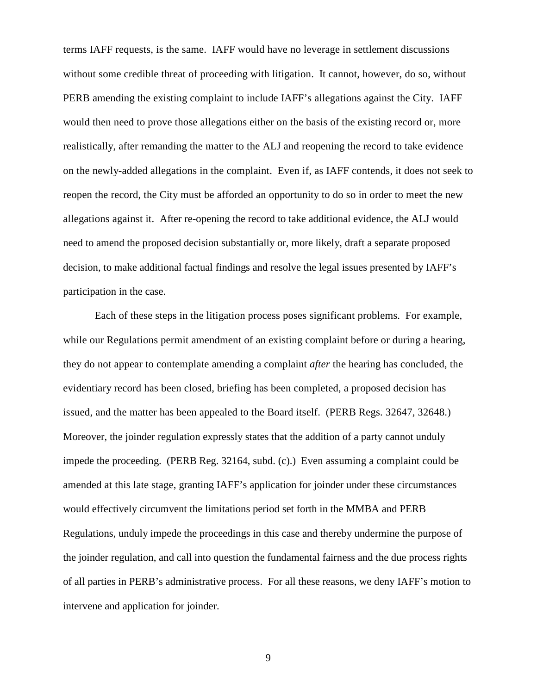terms IAFF requests, is the same. IAFF would have no leverage in settlement discussions PERB amending the existing complaint to include IAFF's allegations against the City. IAFF reopen the record, the City must be afforded an opportunity to do so in order to meet the new allegations against it. After re-opening the record to take additional evidence, the ALJ would decision, to make additional factual findings and resolve the legal issues presented by IAFF's without some credible threat of proceeding with litigation. It cannot, however, do so, without would then need to prove those allegations either on the basis of the existing record or, more realistically, after remanding the matter to the ALJ and reopening the record to take evidence on the newly-added allegations in the complaint. Even if, as IAFF contends, it does not seek to need to amend the proposed decision substantially or, more likely, draft a separate proposed participation in the case.

 Each of these steps in the litigation process poses significant problems. For example, issued, and the matter has been appealed to the Board itself. (PERB Regs. 32647, 32648.) issued, and the matter has been appealed to the Board itself. (PERB Regs. 32647, 32648.) Moreover, the joinder regulation expressly states that the addition of a party cannot unduly impede the proceeding. (PERB Reg. 32164, subd. (c).) Even assuming a complaint could be amended at this late stage, granting IAFF's application for joinder under these circumstances would effectively circumvent the limitations period set forth in the MMBA and PERB Regulations, unduly impede the proceedings in this case and thereby undermine the purpose of while our Regulations permit amendment of an existing complaint before or during a hearing, they do not appear to contemplate amending a complaint *after* the hearing has concluded, the evidentiary record has been closed, briefing has been completed, a proposed decision has the joinder regulation, and call into question the fundamental fairness and the due process rights of all parties in PERB's administrative process. For all these reasons, we deny IAFF's motion to intervene and application for joinder.